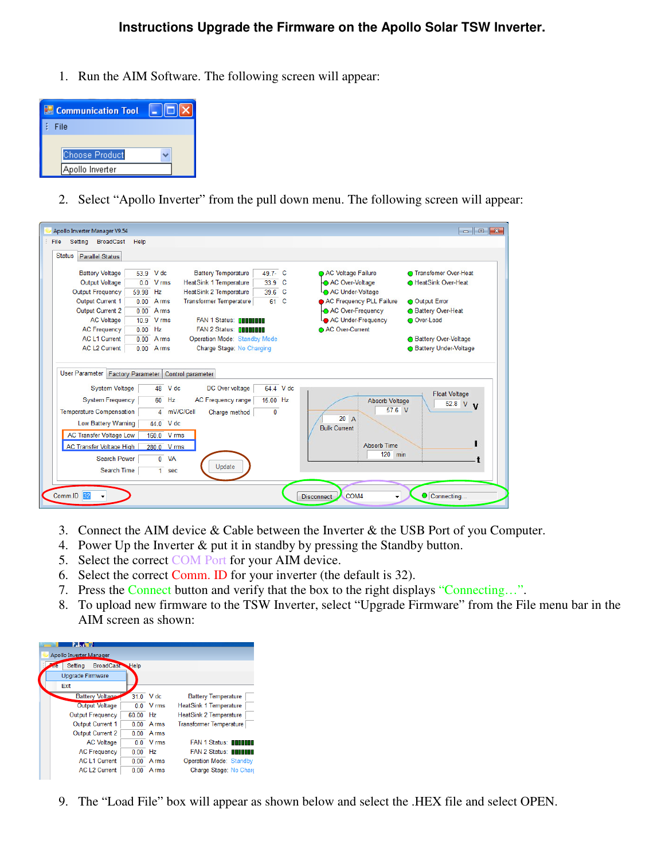1. Run the AIM Software. The following screen will appear:

| <b>E. Communication Tool</b> |  |
|------------------------------|--|
| File                         |  |
| <b>Choose Product</b>        |  |
| Apollo Inverter              |  |

2. Select "Apollo Inverter" from the pull down menu. The following screen will appear:

| Apollo Inverter Manager V9.54<br>File<br>Setting<br><b>BroadCast</b>                                                                                                                                                                           | Help                                                                                                                |                                                                                                                             |                                       |                                                                                                  |                                  |
|------------------------------------------------------------------------------------------------------------------------------------------------------------------------------------------------------------------------------------------------|---------------------------------------------------------------------------------------------------------------------|-----------------------------------------------------------------------------------------------------------------------------|---------------------------------------|--------------------------------------------------------------------------------------------------|----------------------------------|
| <b>Status</b><br><b>Parallel Status</b>                                                                                                                                                                                                        |                                                                                                                     |                                                                                                                             |                                       |                                                                                                  |                                  |
|                                                                                                                                                                                                                                                |                                                                                                                     |                                                                                                                             |                                       |                                                                                                  |                                  |
| <b>Battery Voltage</b>                                                                                                                                                                                                                         | 53.9 V dc                                                                                                           | <b>Battery Temperature</b>                                                                                                  | 49 7- C                               | AC Voltage Failure                                                                               | ◯ Transfomer Over-Heat           |
| Output Voltage                                                                                                                                                                                                                                 | $0.0$ V rms                                                                                                         | <b>HeatSink 1 Temperature</b>                                                                                               | 33.9 C                                | AC Over-Voltage                                                                                  | <b>O</b> HeatSink Over-Heat      |
| <b>Output Frequency</b>                                                                                                                                                                                                                        | 59.98 Hz                                                                                                            | <b>HeatSink 2 Temperature</b>                                                                                               | 39.6 C                                | AC Under-Voltage                                                                                 |                                  |
| Output Current 1                                                                                                                                                                                                                               | <b>A</b> rms<br>0.00                                                                                                | <b>Transformer Temperature</b>                                                                                              | 61 C                                  | AC Frequency PLL Failure                                                                         | O Output Error                   |
| Output Current 2                                                                                                                                                                                                                               | <b>A</b> rms<br>0.00                                                                                                |                                                                                                                             |                                       | AC Over-Frequency                                                                                | <b>Battery Over-Heat</b>         |
| <b>AC Voltage</b>                                                                                                                                                                                                                              | V rms<br>10.9                                                                                                       | <b>FAN 1 Status: DEBERER</b>                                                                                                |                                       | AC Under-Frequency                                                                               | O Over-Load                      |
| <b>AC Frequency</b>                                                                                                                                                                                                                            | $0.00$ Hz                                                                                                           | <b>FAN 2 Status: DEBERER</b>                                                                                                |                                       | AC Over-Current                                                                                  |                                  |
| <b>AC L1 Current</b>                                                                                                                                                                                                                           | A rms<br>0.00                                                                                                       | <b>Operation Mode: Standby Mode</b>                                                                                         |                                       |                                                                                                  | <b>Battery Over-Voltage</b>      |
| <b>AC L2 Current</b>                                                                                                                                                                                                                           | $0.00$ Arms                                                                                                         | Charge Stage: No Charging                                                                                                   |                                       |                                                                                                  | <b>Battery Under-Voltage</b>     |
| <b>User Parameter</b><br><b>System Voltage</b><br><b>System Frequency</b><br><b>Temperature Compensation</b><br>Low Battery Warning<br><b>AC Transfer Voltage Low</b><br><b>AC Transfer Voltage High</b><br><b>Search Power</b><br>Search Time | <b>Factory Parameter</b><br>48<br>Hz<br>60<br>$\mathbf{A}$<br>44 0<br>160.0 V rms<br>280.0 V rms<br>$0$ VA<br>1 sec | Control parameter<br>$V$ dc<br>DC Over voltage<br><b>AC Frequency range</b><br>mV/C/Cell<br>Charge method<br>V dc<br>Update | 64.4 V dc<br>15.00 Hz<br>$\mathbf{0}$ | <b>Absorb Voltage</b><br>57.6 V<br>20A<br><b>Bulk Current</b><br><b>Absorb Time</b><br>$120$ min | <b>Float Voltage</b><br>52.8 V V |
| Comm.ID 32                                                                                                                                                                                                                                     |                                                                                                                     |                                                                                                                             |                                       |                                                                                                  | O Connecting                     |

- 3. Connect the AIM device & Cable between the Inverter & the USB Port of you Computer.
- 4. Power Up the Inverter & put it in standby by pressing the Standby button.
- 5. Select the correct COM Port for your AIM device.
- 6. Select the correct Comm. ID for your inverter (the default is 32).
- 7. Press the Connect button and verify that the box to the right displays "Connecting…".
- 8. To upload new firmware to the TSW Inverter, select "Upgrade Firmware" from the File menu bar in the AIM screen as shown:

| alan Mille                      |                |       |                                |
|---------------------------------|----------------|-------|--------------------------------|
| <b>Apollo Inverter Manager</b>  |                |       |                                |
| BroadCast Help<br>Setting<br>me |                |       |                                |
| Upgrade Firmware                |                |       |                                |
| Exit                            |                |       |                                |
| <b>Battery Voltage</b>          | 310            | V dc  | <b>Battery Temperature</b>     |
| <b>Output Voltage</b>           | 0 <sub>0</sub> | V rms | <b>HeatSink 1 Temperature</b>  |
| Output Frequency                | 60.00          | Hz.   | <b>HeatSink 2 Temperature</b>  |
| Output Current 1                | 0.00           | A rms | <b>Transformer Temperature</b> |
| Output Current 2                | 0.00           | A rms |                                |
| <b>AC Voltage</b>               | 0 <sub>0</sub> | V rms | <b>FAN 1 Status: DODDDD</b>    |
| <b>AC Frequency</b>             | 0.00           | Hz    | <b>FAN 2 Status: DODOOD</b>    |
| <b>AC I 1 Current</b>           | 0.00           | A rms | <b>Operation Mode: Standby</b> |
| <b>AC L2 Current</b>            | 0.00           | A rms | Charge Stage: No Chard         |
|                                 |                |       |                                |

9. The "Load File" box will appear as shown below and select the .HEX file and select OPEN.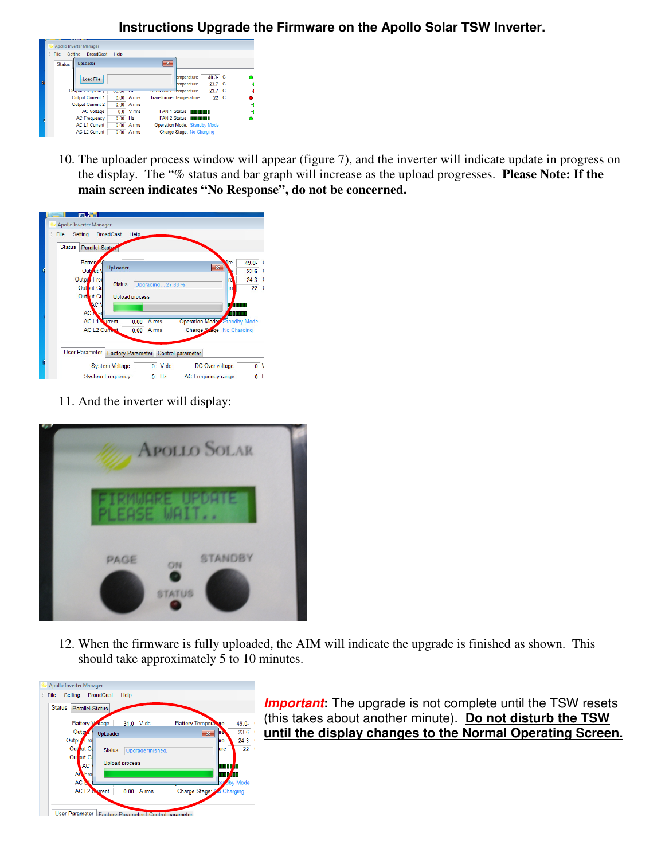## **Instructions Upgrade the Firmware on the Apollo Solar TSW Inverter.**

|               |         | Apollo Inverter Manager        |           |             |                                   |                                |                   |  |
|---------------|---------|--------------------------------|-----------|-------------|-----------------------------------|--------------------------------|-------------------|--|
| File          | Setting | <b>BroadCast</b>               | Help      |             |                                   |                                |                   |  |
| <b>Status</b> |         | UpLoader                       |           |             | $-23$                             |                                |                   |  |
|               |         | Load File                      |           |             |                                   | emperature<br>emperature       | 48 3- C<br>23.7 C |  |
|               |         | $0$ the pure $r$ requested $y$ | ,,,,,,,,, | --          | <del>mouronnez re</del> mperature |                                | $237$ C           |  |
|               |         | Output Current 1               |           | 0.00 Arms   |                                   | <b>Transformer Temperature</b> | 22 C              |  |
|               |         | Output Current 2               |           | 0.00 Arms   |                                   |                                |                   |  |
|               |         | <b>AC Voltage</b>              |           | $0.0$ V rms |                                   | <b>FAN 1 Status: BEBEERE</b>   |                   |  |
|               |         | <b>AC Frequency</b>            | 0.00      | Hz          |                                   | <b>FAN 2 Status: BEBEERE</b>   |                   |  |
|               |         | <b>AC L1 Current</b>           | 0.00      | A rms       |                                   | Operation Mode: Standby Mode   |                   |  |
|               |         | <b>AC L2 Current</b>           | 0.00      | A rms       |                                   | Charge Stage: No Charging      |                   |  |

10. The uploader process window will appear (figure 7), and the inverter will indicate update in progress on the display. The "% status and bar graph will increase as the upload progresses. **Please Note: If the main screen indicates "No Response", do not be concerned.**



11. And the inverter will display:



12. When the firmware is fully uploaded, the AIM will indicate the upgrade is finished as shown. This should take approximately 5 to 10 minutes.



**Important:** The upgrade is not complete until the TSW resets (this takes about another minute). **Do not disturb the TSW until the display changes to the Normal Operating Screen.**